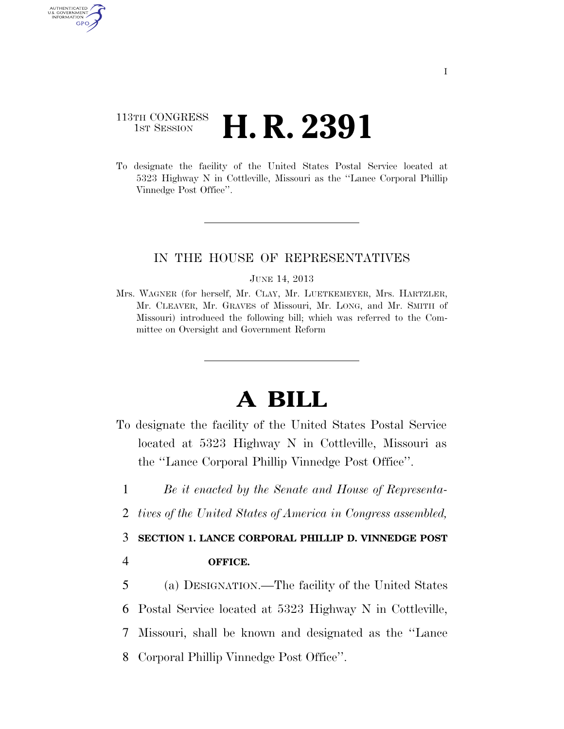## 113TH CONGRESS <sup>TH CONGRESS</sup> **H. R. 2391**

AUTHENTICATED U.S. GOVERNMENT GPO

> To designate the facility of the United States Postal Service located at 5323 Highway N in Cottleville, Missouri as the ''Lance Corporal Phillip Vinnedge Post Office''.

## IN THE HOUSE OF REPRESENTATIVES

## JUNE 14, 2013

Mrs. WAGNER (for herself, Mr. CLAY, Mr. LUETKEMEYER, Mrs. HARTZLER, Mr. CLEAVER, Mr. GRAVES of Missouri, Mr. LONG, and Mr. SMITH of Missouri) introduced the following bill; which was referred to the Committee on Oversight and Government Reform

## **A BILL**

- To designate the facility of the United States Postal Service located at 5323 Highway N in Cottleville, Missouri as the ''Lance Corporal Phillip Vinnedge Post Office''.
- 1 *Be it enacted by the Senate and House of Representa-*
- 2 *tives of the United States of America in Congress assembled,*
- 3 **SECTION 1. LANCE CORPORAL PHILLIP D. VINNEDGE POST**
- 4 **OFFICE.**
- 5 (a) DESIGNATION.—The facility of the United States 6 Postal Service located at 5323 Highway N in Cottleville, 7 Missouri, shall be known and designated as the ''Lance 8 Corporal Phillip Vinnedge Post Office''.